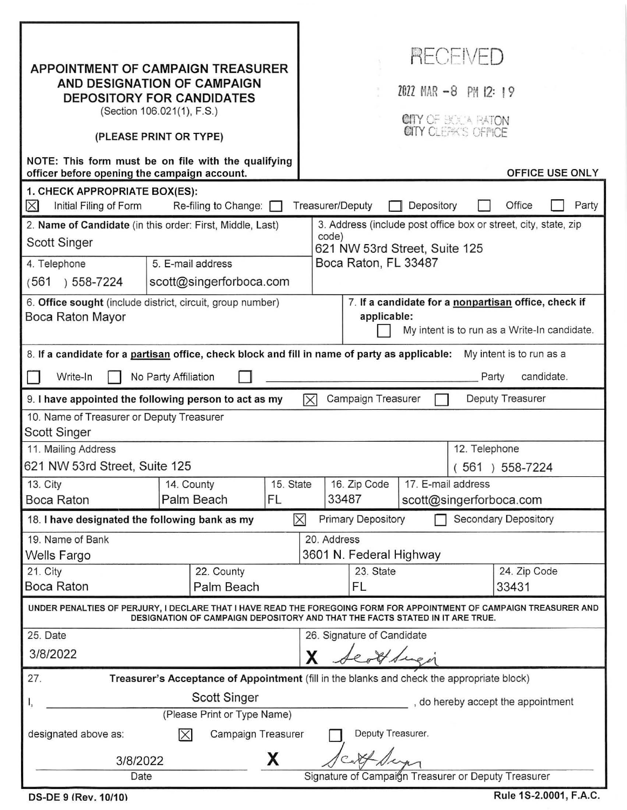| APPOINTMENT OF CAMPAIGN TREASURER<br>AND DESIGNATION OF CAMPAIGN<br><b>DEPOSITORY FOR CANDIDATES</b><br>(Section 106.021(1), F.S.)<br>(PLEASE PRINT OR TYPE)<br>NOTE: This form must be on file with the qualifying<br>officer before opening the campaign account.<br>1. CHECK APPROPRIATE BOX(ES):<br>Initial Filing of Form<br>Re-filing to Change:<br>$\times$ |                          |                                    |           |                      | <b>RECEIVED</b><br>2022 MAR -8 PM 12: 19<br>CITY OF BOOK RATON<br>CITY CLEAK'S OFFICE<br><b>OFFICE USE ONLY</b><br>Office<br>Party<br>Treasurer/Deputy<br>Depository |                            |  |  |                      |                       |  |  |
|--------------------------------------------------------------------------------------------------------------------------------------------------------------------------------------------------------------------------------------------------------------------------------------------------------------------------------------------------------------------|--------------------------|------------------------------------|-----------|----------------------|----------------------------------------------------------------------------------------------------------------------------------------------------------------------|----------------------------|--|--|----------------------|-----------------------|--|--|
| 2. Name of Candidate (in this order: First, Middle, Last)<br>Scott Singer                                                                                                                                                                                                                                                                                          |                          |                                    |           |                      | 3. Address (include post office box or street, city, state, zip<br>code)<br>621 NW 53rd Street, Suite 125                                                            |                            |  |  |                      |                       |  |  |
| 4. Telephone                                                                                                                                                                                                                                                                                                                                                       | 5. E-mail address        |                                    |           | Boca Raton, FL 33487 |                                                                                                                                                                      |                            |  |  |                      |                       |  |  |
| ) 558-7224<br>(561                                                                                                                                                                                                                                                                                                                                                 |                          | scott@singerforboca.com            |           |                      |                                                                                                                                                                      |                            |  |  |                      |                       |  |  |
| 6. Office sought (include district, circuit, group number)<br>Boca Raton Mayor                                                                                                                                                                                                                                                                                     |                          |                                    |           |                      | 7. If a candidate for a nonpartisan office, check if<br>applicable:<br>My intent is to run as a Write-In candidate.                                                  |                            |  |  |                      |                       |  |  |
| 8. If a candidate for a partisan office, check block and fill in name of party as applicable:<br>My intent is to run as a                                                                                                                                                                                                                                          |                          |                                    |           |                      |                                                                                                                                                                      |                            |  |  |                      |                       |  |  |
| candidate.<br>Write-In<br>No Party Affiliation<br>Party                                                                                                                                                                                                                                                                                                            |                          |                                    |           |                      |                                                                                                                                                                      |                            |  |  |                      |                       |  |  |
| Campaign Treasurer<br>Deputy Treasurer<br>9. I have appointed the following person to act as my<br>$\boxtimes$                                                                                                                                                                                                                                                     |                          |                                    |           |                      |                                                                                                                                                                      |                            |  |  |                      |                       |  |  |
| 10. Name of Treasurer or Deputy Treasurer<br>Scott Singer                                                                                                                                                                                                                                                                                                          |                          |                                    |           |                      |                                                                                                                                                                      |                            |  |  |                      |                       |  |  |
| 11. Mailing Address<br>621 NW 53rd Street, Suite 125                                                                                                                                                                                                                                                                                                               |                          |                                    |           |                      | 12. Telephone<br>$(561) 558-7224$                                                                                                                                    |                            |  |  |                      |                       |  |  |
| 13. City                                                                                                                                                                                                                                                                                                                                                           | 14. County               |                                    | 15. State |                      | 16. Zip Code<br>17. E-mail address                                                                                                                                   |                            |  |  |                      |                       |  |  |
| Boca Raton                                                                                                                                                                                                                                                                                                                                                         |                          | Palm Beach                         | FL        |                      | 33487<br>scott@singerforboca.com                                                                                                                                     |                            |  |  |                      |                       |  |  |
| 18. I have designated the following bank as my                                                                                                                                                                                                                                                                                                                     |                          |                                    |           | $\times$             |                                                                                                                                                                      | <b>Primary Depository</b>  |  |  | Secondary Depository |                       |  |  |
| 19. Name of Bank                                                                                                                                                                                                                                                                                                                                                   |                          |                                    |           |                      | 20. Address                                                                                                                                                          |                            |  |  |                      |                       |  |  |
| Wells Fargo                                                                                                                                                                                                                                                                                                                                                        |                          |                                    |           |                      | 3601 N. Federal Highway                                                                                                                                              |                            |  |  |                      |                       |  |  |
| 21. City<br>Boca Raton                                                                                                                                                                                                                                                                                                                                             | 22. County<br>Palm Beach |                                    |           | 23. State<br>FL      |                                                                                                                                                                      |                            |  |  |                      | 24. Zip Code<br>33431 |  |  |
| UNDER PENALTIES OF PERJURY, I DECLARE THAT I HAVE READ THE FOREGOING FORM FOR APPOINTMENT OF CAMPAIGN TREASURER AND<br>DESIGNATION OF CAMPAIGN DEPOSITORY AND THAT THE FACTS STATED IN IT ARE TRUE.                                                                                                                                                                |                          |                                    |           |                      |                                                                                                                                                                      |                            |  |  |                      |                       |  |  |
| 25. Date                                                                                                                                                                                                                                                                                                                                                           |                          |                                    |           |                      |                                                                                                                                                                      | 26. Signature of Candidate |  |  |                      |                       |  |  |
| 3/8/2022                                                                                                                                                                                                                                                                                                                                                           |                          |                                    |           |                      |                                                                                                                                                                      |                            |  |  |                      |                       |  |  |
| 27.<br>Treasurer's Acceptance of Appointment (fill in the blanks and check the appropriate block)                                                                                                                                                                                                                                                                  |                          |                                    |           |                      |                                                                                                                                                                      |                            |  |  |                      |                       |  |  |
| 1,                                                                                                                                                                                                                                                                                                                                                                 |                          | , do hereby accept the appointment |           |                      |                                                                                                                                                                      |                            |  |  |                      |                       |  |  |
| (Please Print or Type Name)                                                                                                                                                                                                                                                                                                                                        |                          |                                    |           |                      |                                                                                                                                                                      |                            |  |  |                      |                       |  |  |
| Deputy Treasurer.<br>Campaign Treasurer<br>designated above as:<br>$ \times $                                                                                                                                                                                                                                                                                      |                          |                                    |           |                      |                                                                                                                                                                      |                            |  |  |                      |                       |  |  |
| X<br>3/8/2022                                                                                                                                                                                                                                                                                                                                                      |                          |                                    |           |                      |                                                                                                                                                                      |                            |  |  |                      |                       |  |  |
| Date                                                                                                                                                                                                                                                                                                                                                               |                          |                                    |           |                      | Signature of Campaign Treasurer or Deputy Treasurer                                                                                                                  |                            |  |  |                      |                       |  |  |

DS-DE 9 (Rev. 10/10) Rule 1 S-2.0001, F.A.C.